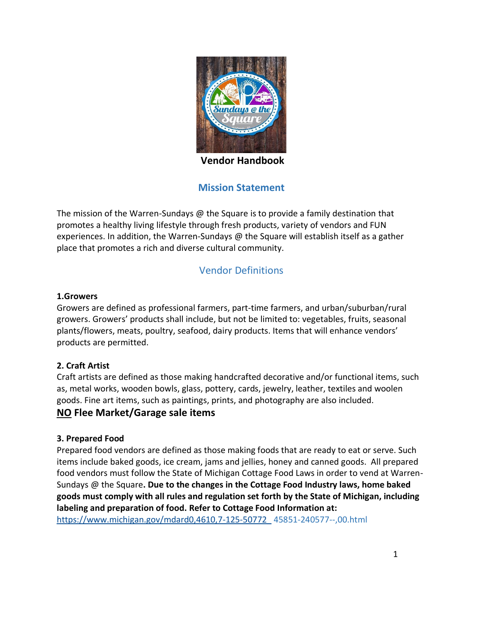

**Vendor Handbook**

# **Mission Statement**

The mission of the Warren-Sundays  $\omega$  the Square is to provide a family destination that promotes a healthy living lifestyle through fresh products, variety of vendors and FUN experiences. In addition, the Warren-Sundays @ the Square will establish itself as a gather place that promotes a rich and diverse cultural community.

# Vendor Definitions

#### **1.Growers**

Growers are defined as professional farmers, part-time farmers, and urban/suburban/rural growers. Growers' products shall include, but not be limited to: vegetables, fruits, seasonal plants/flowers, meats, poultry, seafood, dairy products. Items that will enhance vendors' products are permitted.

#### **2. Craft Artist**

Craft artists are defined as those making handcrafted decorative and/or functional items, such as, metal works, wooden bowls, glass, pottery, cards, jewelry, leather, textiles and woolen goods. Fine art items, such as paintings, prints, and photography are also included.

#### **NO Flee Market/Garage sale items**

#### **3. Prepared Food**

Prepared food vendors are defined as those making foods that are ready to eat or serve. Such items include baked goods, ice cream, jams and jellies, honey and canned goods. All prepared food vendors must follow the State of Michigan Cottage Food Laws in order to vend at Warren-Sundays @ the Square**. Due to the changes in the Cottage Food Industry laws, home baked goods must comply with all rules and regulation set forth by the State of Michigan, including labeling and preparation of food. Refer to Cottage Food Information at:**

[https://www.michigan.gov/mdard0,4610,7-125-50772\\_](https://www.michigan.gov/mdard0,4610,7-125-50772_) 45851-240577--,00.html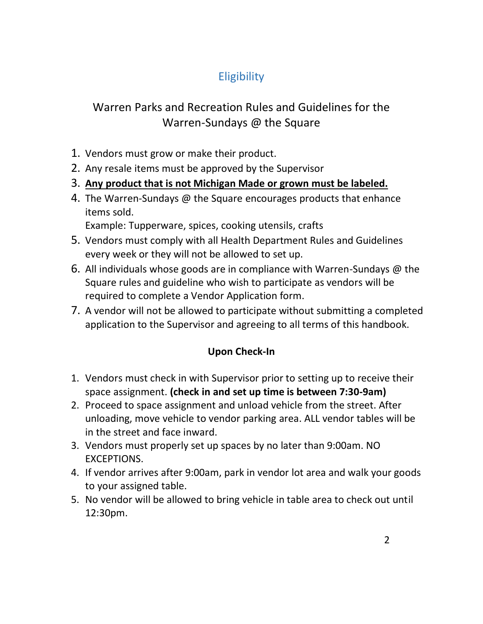# **Eligibility**

# Warren Parks and Recreation Rules and Guidelines for the Warren-Sundays @ the Square

- 1. Vendors must grow or make their product.
- 2. Any resale items must be approved by the Supervisor
- 3. **Any product that is not Michigan Made or grown must be labeled.**
- 4. The Warren-Sundays @ the Square encourages products that enhance items sold.

Example: Tupperware, spices, cooking utensils, crafts

- 5. Vendors must comply with all Health Department Rules and Guidelines every week or they will not be allowed to set up.
- 6. All individuals whose goods are in compliance with Warren-Sundays  $\omega$  the Square rules and guideline who wish to participate as vendors will be required to complete a Vendor Application form.
- 7. A vendor will not be allowed to participate without submitting a completed application to the Supervisor and agreeing to all terms of this handbook.

# **Upon Check-In**

- 1. Vendors must check in with Supervisor prior to setting up to receive their space assignment. **(check in and set up time is between 7:30-9am)**
- 2. Proceed to space assignment and unload vehicle from the street. After unloading, move vehicle to vendor parking area. ALL vendor tables will be in the street and face inward.
- 3. Vendors must properly set up spaces by no later than 9:00am. NO EXCEPTIONS.
- 4. If vendor arrives after 9:00am, park in vendor lot area and walk your goods to your assigned table.
- 5. No vendor will be allowed to bring vehicle in table area to check out until 12:30pm.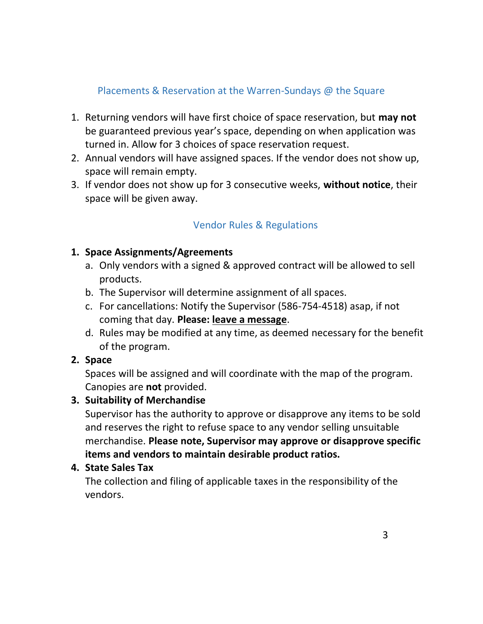# Placements & Reservation at the Warren-Sundays @ the Square

- 1. Returning vendors will have first choice of space reservation, but **may not** be guaranteed previous year's space, depending on when application was turned in. Allow for 3 choices of space reservation request.
- 2. Annual vendors will have assigned spaces. If the vendor does not show up, space will remain empty.
- 3. If vendor does not show up for 3 consecutive weeks, **without notice**, their space will be given away.

# Vendor Rules & Regulations

## **1. Space Assignments/Agreements**

- a. Only vendors with a signed & approved contract will be allowed to sell products.
- b. The Supervisor will determine assignment of all spaces.
- c. For cancellations: Notify the Supervisor (586-754-4518) asap, if not coming that day. **Please: leave a message**.
- d. Rules may be modified at any time, as deemed necessary for the benefit of the program.

#### **2. Space**

Spaces will be assigned and will coordinate with the map of the program. Canopies are **not** provided.

# **3. Suitability of Merchandise**

Supervisor has the authority to approve or disapprove any items to be sold and reserves the right to refuse space to any vendor selling unsuitable merchandise. **Please note, Supervisor may approve or disapprove specific items and vendors to maintain desirable product ratios.**

#### **4. State Sales Tax**

The collection and filing of applicable taxes in the responsibility of the vendors.